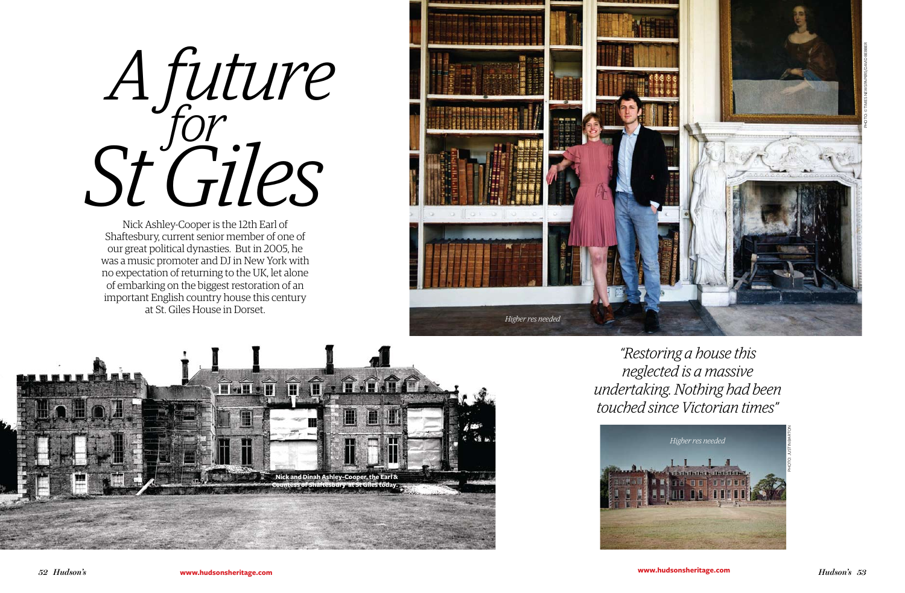*52 Hudson's*

*St Giles for A future*

*"Restoring a house this neglected is a massive undertaking. Nothing had been touched since Victorian times"*





Nick Ashley-Cooper is the 12th Earl of Shaftesbury, current senior member of one of our great political dynasties. But in 2005, he was a music promoter and DJ in New York with no expectation of returning to the UK, let alone of embarking on the biggest restoration of an important English country house this century at St. Giles House in Dorset.

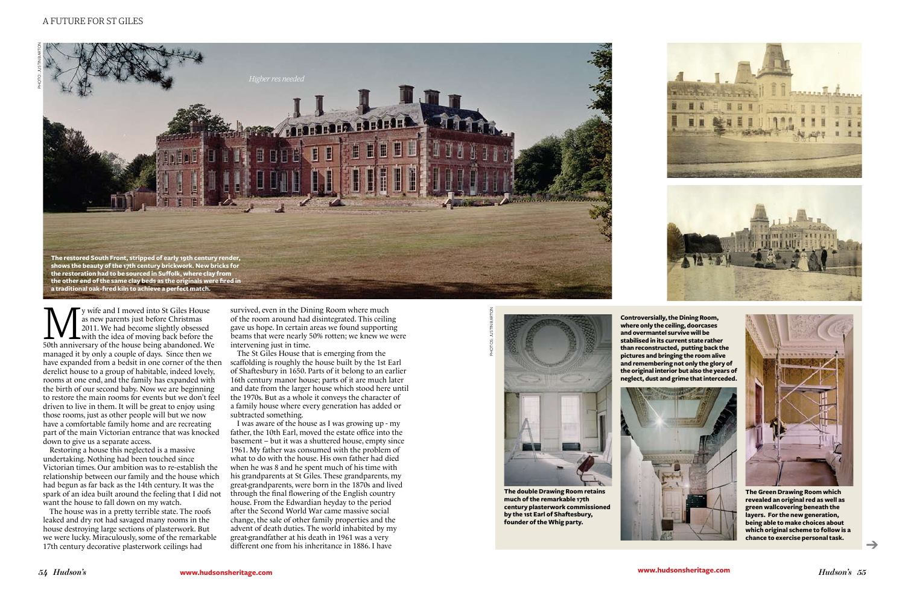➔





y wife and I moved into St Giles House<br>as new parents just before Christmas<br>2011. We had become slightly obsessed<br>50th anniversary of the house being abandoned. We as new parents just before Christmas 2011. We had become slightly obsessed with the idea of moving back before the 50th anniversary of the house being abandoned. We managed it by only a couple of days. Since then we have expanded from a bedsit in one corner of the then derelict house to a group of habitable, indeed lovely, rooms at one end, and the family has expanded with the birth of our second baby. Now we are beginning to restore the main rooms for events but we don't feel driven to live in them. It will be great to enjoy using those rooms, just as other people will but we now have a comfortable family home and are recreating part of the main Victorian entrance that was knocked down to give us a separate access.

Restoring a house this neglected is a massive undertaking. Nothing had been touched since Victorian times. Our ambition was to re-establish the relationship between our family and the house which had begun as far back as the 14th century. It was the spark of an idea built around the feeling that I did not want the house to fall down on my watch.

The house was in a pretty terrible state. The roofs leaked and dry rot had savaged many rooms in the house destroying large sections of plasterwork. But we were lucky. Miraculously, some of the remarkable 17th century decorative plasterwork ceilings had

survived, even in the Dining Room where much of the room around had disintegrated. This ceiling gave us hope. In certain areas we found supporting beams that were nearly 50% rotten; we knew we were intervening just in time.

The St Giles House that is emerging from the scaffolding is roughly the house built by the 1st Earl of Shaftesbury in 1650. Parts of it belong to an earlier 16th century manor house; parts of it are much later and date from the larger house which stood here until the 1970s. But as a whole it conveys the character of a family house where every generation has added or subtracted something.

I was aware of the house as I was growing up - my father, the 10th Earl, moved the estate office into the basement – but it was a shuttered house, empty since 1961. My father was consumed with the problem of what to do with the house. His own father had died when he was 8 and he spent much of his time with his grandparents at St Giles. These grandparents, my great-grandparents, were born in the 1870s and lived through the final flowering of the English country house. From the Edwardian heyday to the period after the Second World War came massive social change, the sale of other family properties and the advent of death duties. The world inhabited by my great-grandfather at his death in 1961 was a very different one from his inheritance in 1886. I have



PhotoS: Justin Barton



**The Green Drawing Room which revealed an original red as well as green wallcovering beneath the layers. For the new generation, being able to make choices about which original scheme to follow is a chance to exercise personal task.** 









**The double Drawing Room retains much of the remarkable 17th century plasterwork commissioned by the 1st Earl of Shaftesbury, founder of the Whig party.**